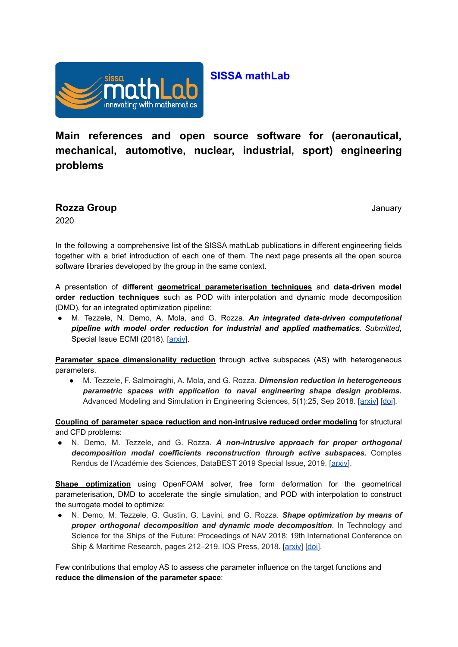

## **SISSA mathLab**

**Main references and open source software for (aeronautical, mechanical, automotive, nuclear, industrial, sport) engineering problems**

**Rozza Group** January

2020

In the following a comprehensive list of the SISSA mathLab publications in different engineering fields together with a brief introduction of each one of them. The next page presents all the open source software libraries developed by the group in the same context.

A presentation of **different geometrical parameterisation techniques** and **data-driven model order reduction techniques** such as POD with interpolation and dynamic mode decomposition (DMD), for an integrated optimization pipeline:

● M. Tezzele, N. Demo, A. Mola, and G. Rozza. *An integrated data-driven computational pipeline with model order reduction for industrial and applied mathematics. Submitted*, Special Issue ECMI (2018). [\[arxiv](https://arxiv.org/abs/1810.12364)].

**Parameter space dimensionality reduction** through active subspaces (AS) with heterogeneous parameters.

● M. Tezzele, F. Salmoiraghi, A. Mola, and G. Rozza. *Dimension reduction in heterogeneous parametric spaces with application to naval engineering shape design problems***.** Advanced Modeling and Simulation in Engineering Sciences, 5(1):25, Sep 2018. [[arxiv\]](https://arxiv.org/abs/1709.03298) [\[doi](https://doi.org/10.1186/s40323-018-0118-3)].

**Coupling of parameter space reduction and non-intrusive reduced order modeling** for structural and CFD problems:

● N. Demo, M. Tezzele, and G. Rozza. *A non-intrusive approach for proper orthogonal decomposition modal coefficients reconstruction through active subspaces.* Comptes Rendus de l'Académie des Sciences, DataBEST 2019 Special Issue, 2019. [\[arxiv\]](https://arxiv.org/abs/1907.12777).

**Shape optimization** using OpenFOAM solver, free form deformation for the geometrical parameterisation, DMD to accelerate the single simulation, and POD with interpolation to construct the surrogate model to optimize:

● N. Demo, M. Tezzele, G. Gustin, G. Lavini, and G. Rozza. *Shape optimization by means of proper orthogonal decomposition and dynamic mode decomposition*. In Technology and Science for the Ships of the Future: Proceedings of NAV 2018: 19th International Conference on Ship & Maritime Research, pages 212–219. IOS Press, 2018. [[arxiv\]](https://arxiv.org/abs/1803.07368) [\[doi\]](https://doi.org/10.3233/978-1-61499-870-9-212).

Few contributions that employ AS to assess che parameter influence on the target functions and **reduce the dimension of the parameter space**: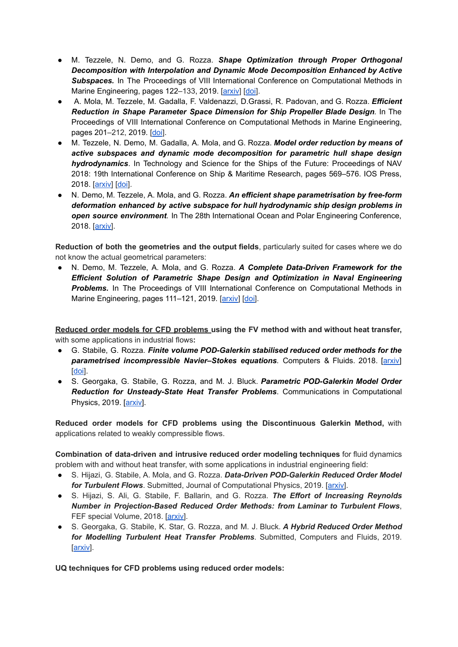- M. Tezzele, N. Demo, and G. Rozza. *Shape Optimization through Proper Orthogonal Decomposition with Interpolation and Dynamic Mode Decomposition Enhanced by Active* **Subspaces.** In The Proceedings of VIII International Conference on Computational Methods in Marine Engineering, pages 122-133, 2019. [\[arxiv](https://arxiv.org/abs/1905.05483)] [[doi](https://congress.cimne.com/marine2019/frontal/Doc/EbookMarine2019.pdf)].
- A. Mola, M. Tezzele, M. Gadalla, F. Valdenazzi, D.Grassi, R. Padovan, and G. Rozza. *Efficient Reduction in Shape Parameter Space Dimension for Ship Propeller Blade Design.* In The Proceedings of VIII International Conference on Computational Methods in Marine Engineering, pages 201–212, 2019. [\[doi](https://congress.cimne.com/marine2019/frontal/Doc/EbookMarine2019.pdf)].
- M. Tezzele, N. Demo, M. Gadalla, A. Mola, and G. Rozza. *Model order reduction by means of active subspaces and dynamic mode decomposition for parametric hull shape design hydrodynamics*. In Technology and Science for the Ships of the Future: Proceedings of NAV 2018: 19th International Conference on Ship & Maritime Research, pages 569–576. IOS Press, 2018. [[arxiv\]](https://arxiv.org/abs/1803.07377) [[doi](https://doi.org/10.3233/978-1-61499-870-9-569)].
- N. Demo, M. Tezzele, A. Mola, and G. Rozza. *An efficient shape parametrisation by free-form deformation enhanced by active subspace for hull hydrodynamic ship design problems in open source environment.* In The 28th International Ocean and Polar Engineering Conference, 2018. [[arxiv\]](https://arxiv.org/abs/1801.06369).

**Reduction of both the geometries and the output fields**, particularly suited for cases where we do not know the actual geometrical parameters:

● N. Demo, M. Tezzele, A. Mola, and G. Rozza. *A Complete Data-Driven Framework for the Efficient Solution of Parametric Shape Design and Optimization in Naval Engineering Problems.* In The Proceedings of VIII International Conference on Computational Methods in Marine Engineering, pages 111-121, 2019. [[arxiv\]](https://arxiv.org/abs/1905.05982) [\[doi\]](https://congress.cimne.com/marine2019/frontal/Doc/EbookMarine2019.pdf).

**Reduced order models for CFD problems using the FV method with and without heat transfer,** with some applications in industrial flows**:**

- G. Stabile, G. Rozza. *Finite volume POD-Galerkin stabilised reduced order methods for the parametrised incompressible Navier–Stokes equations.* Computers & Fluids. 2018. [[arxiv\]](https://arxiv.org/abs/1710.11580) [[doi](https://doi.org/10.1016/j.compfluid.2018.01.035)].
- S. Georgaka, G. Stabile, G. Rozza, and M. J. Bluck. *Parametric POD-Galerkin Model Order Reduction for Unsteady-State Heat Transfer Problems*. Communications in Computational Physics, 2019. [[arxiv\]](https://arxiv.org/abs/1808.05175).

**Reduced order models for CFD problems using the Discontinuous Galerkin Method,** with applications related to weakly compressible flows.

**Combination of data-driven and intrusive reduced order modeling techniques** for fluid dynamics problem with and without heat transfer, with some applications in industrial engineering field:

- S. Hijazi, G. Stabile, A. Mola, and G. Rozza. *Data-Driven POD-Galerkin Reduced Order Model for Turbulent Flows*. Submitted, Journal of Computational Physics, 2019. [[arxiv\]](https://arxiv.org/abs/1907.09909).
- S. Hijazi, S. Ali, G. Stabile, F. Ballarin, and G. Rozza. *The Effort of Increasing Reynolds Number in Projection-Based Reduced Order Methods: from Laminar to Turbulent Flows*, FEF special Volume, 2018. [\[arxiv](https://arxiv.org/abs/1807.11370)].
- S. Georgaka, G. Stabile, K. Star, G. Rozza, and M. J. Bluck. *A Hybrid Reduced Order Method for Modelling Turbulent Heat Transfer Problems*. Submitted, Computers and Fluids, 2019. [[arxiv\]](https://arxiv.org/abs/1906.08725).

**UQ techniques for CFD problems using reduced order models:**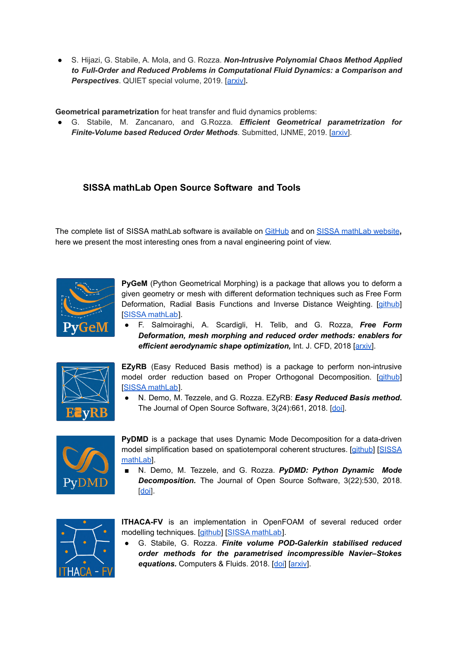● S. Hijazi, G. Stabile, A. Mola, and G. Rozza. *Non-Intrusive Polynomial Chaos Method Applied to Full-Order and Reduced Problems in Computational Fluid Dynamics: a Comparison and Perspectives*. QUIET special volume, 2019. [[arxiv\]](https://arxiv.org/abs/1901.06373)**.**

**Geometrical parametrization** for heat transfer and fluid dynamics problems:

● G. Stabile, M. Zancanaro, and G.Rozza. *Efficient Geometrical parametrization for Finite-Volume based Reduced Order Methods*. Submitted, IJNME, 2019. [\[arxiv\]](https://arxiv.org/abs/1901.06373).

## **SISSA mathLab Open Source Software and Tools**

The complete list of SISSA mathLab software is available on [GitHub](https://github.com/mathLab) and on SISSA [mathLab](https://mathlab.sissa.it/cse-software) website**,** here we present the most interesting ones from a naval engineering point of view.



**PyGeM** (Python Geometrical Morphing) is a package that allows you to deform a given geometry or mesh with different deformation techniques such as Free Form Deformation, Radial Basis Functions and Inverse Distance Weighting. [[github](https://github.com/mathLab/PyGeM)] [SISSA [mathLab](https://mathlab.sissa.it/pygem)].

● F. Salmoiraghi, A. Scardigli, H. Telib, and G. Rozza, *Free Form Deformation, mesh morphing and reduced order methods: enablers for efficient aerodynamic shape optimization,* Int. J. CFD, 2018 [[arxiv\]](https://arxiv.org/abs/1803.04688).



**EZyRB** (Easy Reduced Basis method) is a package to perform non-intrusive model order reduction based on Proper Orthogonal Decomposition. [\[github](https://github.com/mathLab/EZyRB)] [SISSA [mathLab](https://mathlab.sissa.it/ezyrb)].

● N. Demo, M. Tezzele, and G. Rozza. EZyRB: *Easy Reduced Basis method***.** The Journal of Open Source Software, 3(24):661, 2018. [\[doi\]](https://doi.org/10.21105/joss.00661).



**PyDMD** is a package that uses Dynamic Mode Decomposition for a data-driven model simplification based on spatiotemporal coherent structures. [\[github](https://github.com/mathLab/PyDMD)] [[SISSA](https://mathlab.sissa.it/pydmd) [mathLab](https://mathlab.sissa.it/pydmd)].

■ N. Demo, M. Tezzele, and G. Rozza. *PyDMD: Python Dynamic Mode Decomposition.* The Journal of Open Source Software, 3(22):530, 2018. [[doi](https://doi.org/10.21105/joss.00530)].



**ITHACA-FV** is an implementation in OpenFOAM of several reduced order modelling techniques. [\[github\]](https://github.com/mathLab/ITHACA-FV) [SISSA [mathLab](https://mathlab.sissa.it/ithaca-fv)].

● G. Stabile, G. Rozza. *Finite volume POD-Galerkin stabilised reduced order methods for the parametrised incompressible Navier–Stokes* equations. Computers & Fluids. 2018. [[doi\]](https://doi.org/10.1016/j.compfluid.2018.01.035) [\[arxiv](https://arxiv.org/abs/1710.11580)].